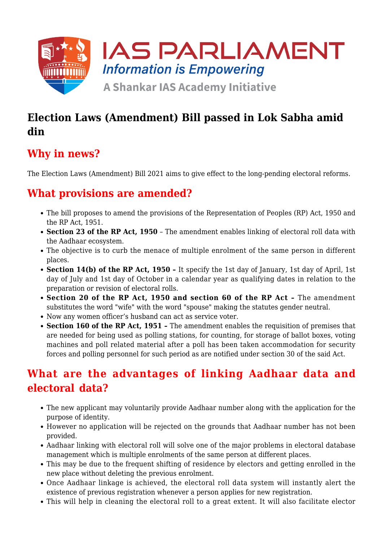

## **Election Laws (Amendment) Bill passed in Lok Sabha amid din**

# **Why in news?**

The Election Laws (Amendment) Bill 2021 aims to give effect to the long-pending electoral reforms.

### **What provisions are amended?**

- The bill proposes to amend the provisions of the Representation of Peoples (RP) Act, 1950 and the RP Act, 1951.
- **Section 23 of the RP Act, 1950** The amendment enables linking of electoral roll data with the Aadhaar ecosystem.
- The objective is to curb the menace of multiple enrolment of the same person in different places.
- **Section 14(b) of the RP Act, 1950** It specify the 1st day of January, 1st day of April, 1st day of July and 1st day of October in a calendar year as qualifying dates in relation to the preparation or revision of electoral rolls.
- **Section 20 of the RP Act, 1950 and section 60 of the RP Act** The amendment substitutes the word "wife" with the word "spouse" making the statutes gender neutral.
- Now any women officer's husband can act as service voter.
- **Section 160 of the RP Act, 1951** The amendment enables the requisition of premises that are needed for being used as polling stations, for counting, for storage of ballot boxes, voting machines and poll related material after a poll has been taken accommodation for security forces and polling personnel for such period as are notified under section 30 of the said Act.

## **What are the advantages of linking Aadhaar data and electoral data?**

- The new applicant may voluntarily provide Aadhaar number along with the application for the purpose of identity.
- However no application will be rejected on the grounds that Aadhaar number has not been provided.
- Aadhaar linking with electoral roll will solve one of the major problems in electoral database management which is multiple enrolments of the same person at different places.
- This may be due to the frequent shifting of residence by electors and getting enrolled in the new place without deleting the previous enrolment.
- Once Aadhaar linkage is achieved, the electoral roll data system will instantly alert the existence of previous registration whenever a person applies for new registration.
- This will help in cleaning the electoral roll to a great extent. It will also facilitate elector